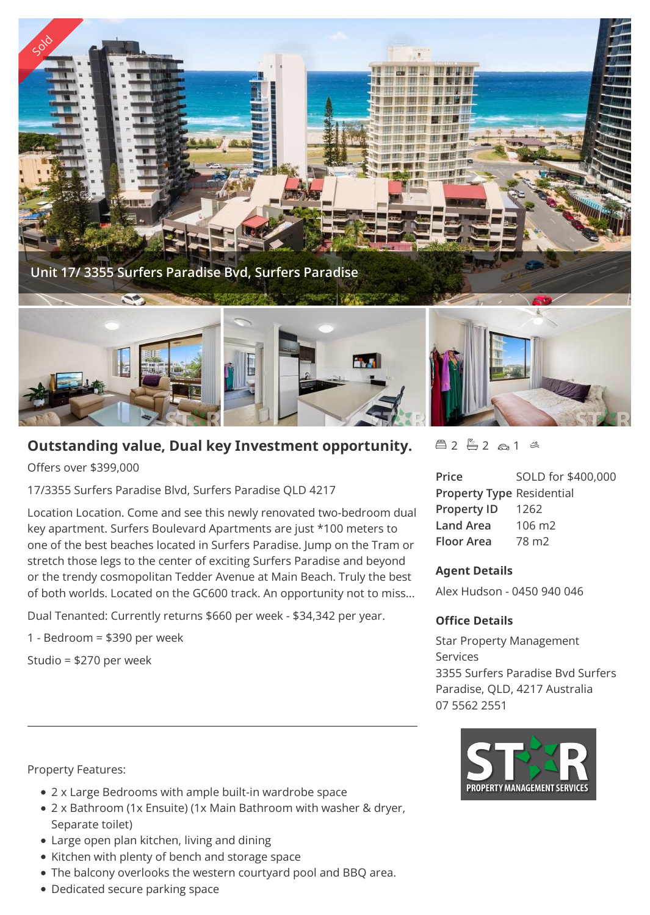

# **Outstanding value, Dual key Investment opportunity.**

Offers over \$399,000

17/3355 Surfers Paradise Blvd, Surfers Paradise QLD 4217

Location Location. Come and see this newly renovated two-bedroom dual key apartment. Surfers Boulevard Apartments are just \*100 meters to one of the best beaches located in Surfers Paradise. Jump on the Tram or stretch those legs to the center of exciting Surfers Paradise and beyond or the trendy cosmopolitan Tedder Avenue at Main Beach. Truly the best of both worlds. Located on the GC600 track. An opportunity not to miss...

Dual Tenanted: Currently returns \$660 per week - \$34,342 per year.

1 - Bedroom = \$390 per week

Studio = \$270 per week

Property Features:

- 2 x Large Bedrooms with ample built-in wardrobe space
- 2 x Bathroom (1x Ensuite) (1x Main Bathroom with washer & dryer, Separate toilet)
- Large open plan kitchen, living and dining
- Kitchen with plenty of bench and storage space
- The balcony overlooks the western courtyard pool and BBQ area.
- Dedicated secure parking space

## $42 - 2 2 6 1 8$

**Price** SOLD for \$400,000 **Property Type** Residential **Property ID** 1262 **Land Area** 106 m2 **Floor Area** 78 m2

### **Agent Details**

Alex Hudson - 0450 940 046

### **Office Details**

Star Property Management Services 3355 Surfers Paradise Bvd Surfers Paradise, QLD, 4217 Australia 07 5562 2551